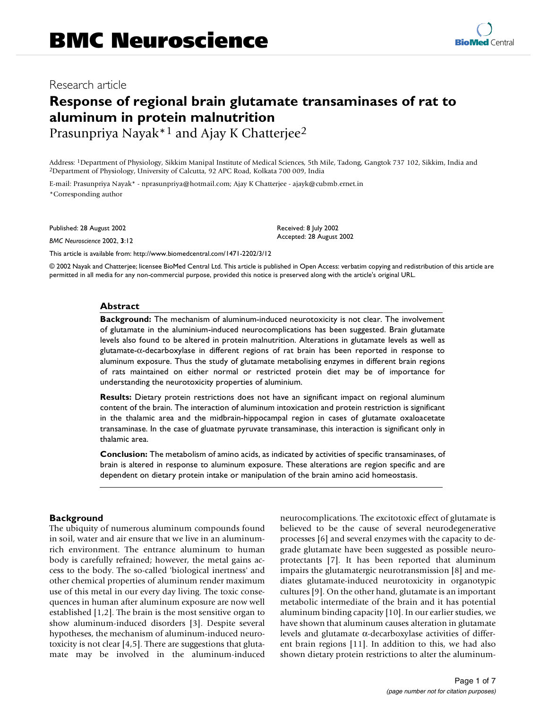# **Response of regional brain glutamate transaminases of rat to aluminum in protein malnutrition**

Prasunpriya Nayak<sup>\*1</sup> and Ajay K Chatterjee<sup>2</sup>

Address: <sup>1</sup>Department of Physiology, Sikkim Manipal Institute of Medical Sciences, 5th Mile, Tadong, Gangtok 737 102, Sikkim, India and <sup>2</sup>Department of Physiology, University of Calcutta, 92 APC Road, Kolkata 700 009, In

E-mail: Prasunpriya Nayak\* - nprasunpriya@hotmail.com; Ajay K Chatterjee - ajayk@cubmb.ernet.in \*Corresponding author

Published: 28 August 2002

*BMC Neuroscience* 2002, **3**:12

[This article is available from: http://www.biomedcentral.com/1471-2202/3/12](http://www.biomedcentral.com/1471-2202/3/12)

© 2002 Nayak and Chatterjee; licensee BioMed Central Ltd. This article is published in Open Access: verbatim copying and redistribution of this article are permitted in all media for any non-commercial purpose, provided this notice is preserved along with the article's original URL.

Received: 8 July 2002 Accepted: 28 August 2002

#### **Abstract**

**Background:** The mechanism of aluminum-induced neurotoxicity is not clear. The involvement of glutamate in the aluminium-induced neurocomplications has been suggested. Brain glutamate levels also found to be altered in protein malnutrition. Alterations in glutamate levels as well as glutamate-α-decarboxylase in different regions of rat brain has been reported in response to aluminum exposure. Thus the study of glutamate metabolising enzymes in different brain regions of rats maintained on either normal or restricted protein diet may be of importance for understanding the neurotoxicity properties of aluminium.

**Results:** Dietary protein restrictions does not have an significant impact on regional aluminum content of the brain. The interaction of aluminum intoxication and protein restriction is significant in the thalamic area and the midbrain-hippocampal region in cases of glutamate oxaloacetate transaminase. In the case of gluatmate pyruvate transaminase, this interaction is significant only in thalamic area.

**Conclusion:** The metabolism of amino acids, as indicated by activities of specific transaminases, of brain is altered in response to aluminum exposure. These alterations are region specific and are dependent on dietary protein intake or manipulation of the brain amino acid homeostasis.

# **Background**

The ubiquity of numerous aluminum compounds found in soil, water and air ensure that we live in an aluminumrich environment. The entrance aluminum to human body is carefully refrained; however, the metal gains access to the body. The so-called 'biological inertness' and other chemical properties of aluminum render maximum use of this metal in our every day living. The toxic consequences in human after aluminum exposure are now well established [1,2]. The brain is the most sensitive organ to show aluminum-induced disorders [3]. Despite several hypotheses, the mechanism of aluminum-induced neurotoxicity is not clear [4,5]. There are suggestions that glutamate may be involved in the aluminum-induced neurocomplications. The excitotoxic effect of glutamate is believed to be the cause of several neurodegenerative processes [6] and several enzymes with the capacity to degrade glutamate have been suggested as possible neuroprotectants [7]. It has been reported that aluminum impairs the glutamatergic neurotransmission [8] and mediates glutamate-induced neurotoxicity in organotypic cultures [9]. On the other hand, glutamate is an important metabolic intermediate of the brain and it has potential aluminum binding capacity [10]. In our earlier studies, we have shown that aluminum causes alteration in glutamate levels and glutamate α-decarboxylase activities of different brain regions [11]. In addition to this, we had also shown dietary protein restrictions to alter the aluminum-

**[BioMed](http://www.biomedcentral.com/)** Central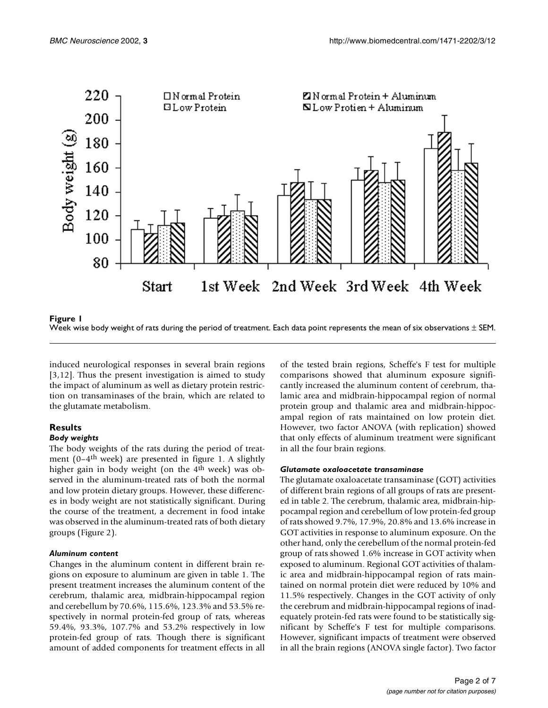

**Figure 1** Week wise body weight of rats during the period of treatment. Each data point represents the mean of six observations  $\pm$  SEM.

induced neurological responses in several brain regions [3,12]. Thus the present investigation is aimed to study the impact of aluminum as well as dietary protein restriction on transaminases of the brain, which are related to the glutamate metabolism.

# **Results**

# *Body weights*

The body weights of the rats during the period of treatment  $(0-4$ <sup>th</sup> week) are presented in figure 1. A slightly higher gain in body weight (on the  $4<sup>th</sup>$  week) was observed in the aluminum-treated rats of both the normal and low protein dietary groups. However, these differences in body weight are not statistically significant. During the course of the treatment, a decrement in food intake was observed in the aluminum-treated rats of both dietary groups (Figure 2).

# *Aluminum content*

<span id="page-1-0"></span>Changes in the aluminum content in different brain regions on exposure to aluminum are given in table [1](#page-1-0). The present treatment increases the aluminum content of the cerebrum, thalamic area, midbrain-hippocampal region and cerebellum by 70.6%, 115.6%, 123.3% and 53.5% respectively in normal protein-fed group of rats, whereas 59.4%, 93.3%, 107.7% and 53.2% respectively in low protein-fed group of rats. Though there is significant amount of added components for treatment effects in all of the tested brain regions, Scheffe's F test for multiple comparisons showed that aluminum exposure significantly increased the aluminum content of cerebrum, thalamic area and midbrain-hippocampal region of normal protein group and thalamic area and midbrain-hippocampal region of rats maintained on low protein diet. However, two factor ANOVA (with replication) showed that only effects of aluminum treatment were significant in all the four brain regions.

# *Glutamate oxaloacetate transaminase*

The glutamate oxaloacetate transaminase (GOT) activities of different brain regions of all groups of rats are presented in table [2](#page-1-0). The cerebrum, thalamic area, midbrain-hippocampal region and cerebellum of low protein-fed group of rats showed 9.7%, 17.9%, 20.8% and 13.6% increase in GOT activities in response to aluminum exposure. On the other hand, only the cerebellum of the normal protein-fed group of rats showed 1.6% increase in GOT activity when exposed to aluminum. Regional GOT activities of thalamic area and midbrain-hippocampal region of rats maintained on normal protein diet were reduced by 10% and 11.5% respectively. Changes in the GOT activity of only the cerebrum and midbrain-hippocampal regions of inadequately protein-fed rats were found to be statistically significant by Scheffe's F test for multiple comparisons. However, significant impacts of treatment were observed in all the brain regions (ANOVA single factor). Two factor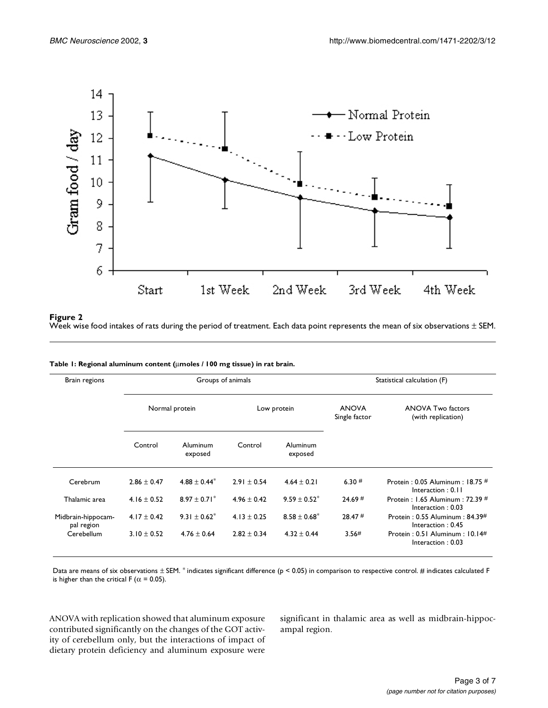

**Figure 2** Week wise food intakes of rats during the period of treatment. Each data point represents the mean of six observations  $\pm$  SEM.

|  | Table 1: Regional aluminum content ( $\mu$ moles / 100 mg tissue) in rat brain. |
|--|---------------------------------------------------------------------------------|
|  |                                                                                 |

| Brain regions                    | Groups of animals |                     |                 |                     | Statistical calculation (F)   |                                                         |
|----------------------------------|-------------------|---------------------|-----------------|---------------------|-------------------------------|---------------------------------------------------------|
|                                  | Normal protein    |                     | Low protein     |                     | <b>ANOVA</b><br>Single factor | <b>ANOVA Two factors</b><br>(with replication)          |
|                                  | Control           | Aluminum<br>exposed | Control         | Aluminum<br>exposed |                               |                                                         |
| Cerebrum                         | $2.86 \pm 0.47$   | $4.88 \pm 0.44^*$   | $2.91 \pm 0.54$ | $4.64 \pm 0.21$     | 6.30#                         | Protein: 0.05 Aluminum: 18.75 #<br>Interaction: 0.11    |
| Thalamic area                    | 4.16 $\pm$ 0.52   | $8.97 + 0.71$ *     | $4.96 \pm 0.42$ | $9.59 + 0.52^*$     | 24.69#                        | Protein: 1.65 Aluminum: 72.39 #<br>Interaction: 0.03    |
| Midbrain-hippocam-<br>pal region | 4.17 $\pm$ 0.42   | $9.31 \pm 0.62^*$   | $4.13 \pm 0.25$ | $8.58 \pm 0.68^*$   | 28.47#                        | Protein: $0.55$ Aluminum: $84.39#$<br>Interaction: 0.45 |
| Cerebellum                       | $3.10 \pm 0.52$   | $4.76 \pm 0.64$     | $2.82 \pm 0.34$ | $4.32 \pm 0.44$     | 3.56#                         | Protein: 0.51 Aluminum: 10.14#<br>Interaction: 0.03     |

Data are means of six observations ± SEM. \* indicates significant difference (p < 0.05) in comparison to respective control. # indicates calculated F is higher than the critical F ( $\alpha$  = 0.05).

ANOVA with replication showed that aluminum exposure contributed significantly on the changes of the GOT activity of cerebellum only, but the interactions of impact of dietary protein deficiency and aluminum exposure were significant in thalamic area as well as midbrain-hippocampal region.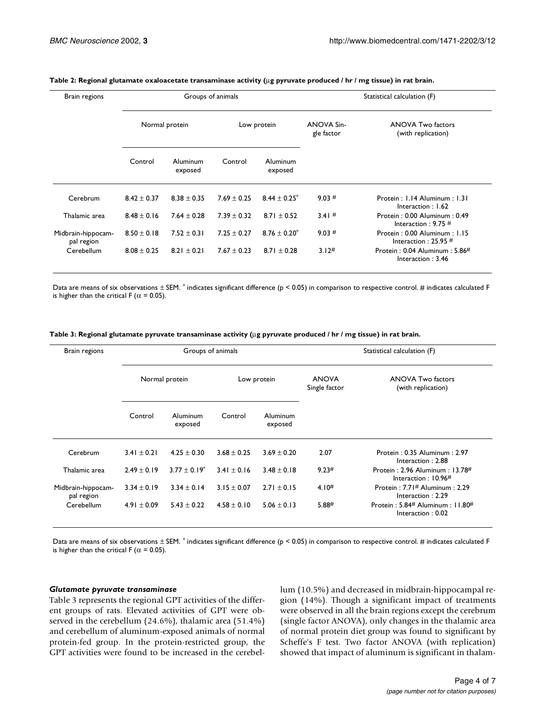| Brain regions                    | Groups of animals |                     |                 |                     | Statistical calculation (F) |                                                        |
|----------------------------------|-------------------|---------------------|-----------------|---------------------|-----------------------------|--------------------------------------------------------|
|                                  | Normal protein    |                     | Low protein     |                     | ANOVA Sin-<br>gle factor    | <b>ANOVA Two factors</b><br>(with replication)         |
|                                  | Control           | Aluminum<br>exposed | Control         | Aluminum<br>exposed |                             |                                                        |
| Cerebrum                         | $8.42 \pm 0.37$   | $8.38 \pm 0.35$     | $7.69 \pm 0.25$ | $8.44 \pm 0.25^*$   | 9.03#                       | Protein: 1.14 Aluminum: 1.31<br>Interaction: 1.62      |
| Thalamic area                    | $8.48 \pm 0.16$   | $7.64 \pm 0.28$     | $7.39 \pm 0.32$ | $8.71 \pm 0.52$     | 3.41#                       | Protein: 0.00 Aluminum: 0.49<br>Interaction: $9.75$ #  |
| Midbrain-hippocam-<br>pal region | $8.50 \pm 0.18$   | $7.52 \pm 0.31$     | $7.25 \pm 0.27$ | $8.76 \pm 0.20^*$   | 9.03#                       | Protein: 0.00 Aluminum: 1.15<br>Interaction: $25.95$ # |
| Cerebellum                       | $8.08 \pm 0.25$   | $8.21 \pm 0.21$     | $7.67 \pm 0.23$ | $8.71 \pm 0.28$     | 3.12#                       | Protein: 0.04 Aluminum: 5.86#<br>Interaction: 3.46     |

### **Table 2: Regional glutamate oxaloacetate transaminase activity (**µ**g pyruvate produced / hr / mg tissue) in rat brain.**

Data are means of six observations  $\pm$  SEM. \* indicates significant difference ( $p < 0.05$ ) in comparison to respective control. # indicates calculated F is higher than the critical F ( $\alpha$  = 0.05).

| Brain regions                    | Groups of animals |                     |                 |                     | Statistical calculation (F)   |                                                          |
|----------------------------------|-------------------|---------------------|-----------------|---------------------|-------------------------------|----------------------------------------------------------|
|                                  | Normal protein    |                     | Low protein     |                     | <b>ANOVA</b><br>Single factor | <b>ANOVA Two factors</b><br>(with replication)           |
|                                  | Control           | Aluminum<br>exposed | Control         | Aluminum<br>exposed |                               |                                                          |
| Cerebrum                         | $3.41 \pm 0.21$   | $4.25 \pm 0.30$     | $3.68 \pm 0.25$ | $3.69 \pm 0.20$     | 2.07                          | Protein: 0.35 Aluminum: 2.97<br>Interaction: 2.88        |
| Thalamic area                    | $2.49 \pm 0.19$   | $3.77 + 0.19^*$     | $3.41 \pm 0.16$ | $3.48 \pm 0.18$     | 9.23#                         | Protein: 2.96 Aluminum: 13.78#<br>Interaction : $10.96#$ |
| Midbrain-hippocam-<br>pal region | $3.34 \pm 0.19$   | $3.34 \pm 0.14$     | $3.15 \pm 0.07$ | $2.71 \pm 0.15$     | 4.10#                         | Protein: 7.71# Aluminum: 2.29<br>Interaction: 2.29       |
| Cerebellum                       | $4.91 \pm 0.09$   | $5.43 \pm 0.22$     | $4.58 \pm 0.10$ | $5.06 \pm 0.13$     | 5.88#                         | Protein: 5.84# Aluminum: 11.80#<br>Interaction: 0.02     |

**Table 3: Regional glutamate pyruvate transaminase activity (**µ**g pyruvate produced / hr / mg tissue) in rat brain.**

Data are means of six observations ± SEM. \* indicates significant difference (p < 0.05) in comparison to respective control. # indicates calculated F is higher than the critical F ( $\alpha$  = 0.05).

#### *Glutamate pyruvate transaminase*

Table [3](#page-1-0) represents the regional GPT activities of the different groups of rats. Elevated activities of GPT were observed in the cerebellum (24.6%), thalamic area (51.4%) and cerebellum of aluminum-exposed animals of normal protein-fed group. In the protein-restricted group, the GPT activities were found to be increased in the cerebel-

lum (10.5%) and decreased in midbrain-hippocampal region (14%). Though a significant impact of treatments were observed in all the brain regions except the cerebrum (single factor ANOVA), only changes in the thalamic area of normal protein diet group was found to significant by Scheffe's F test. Two factor ANOVA (with replication) showed that impact of aluminum is significant in thalam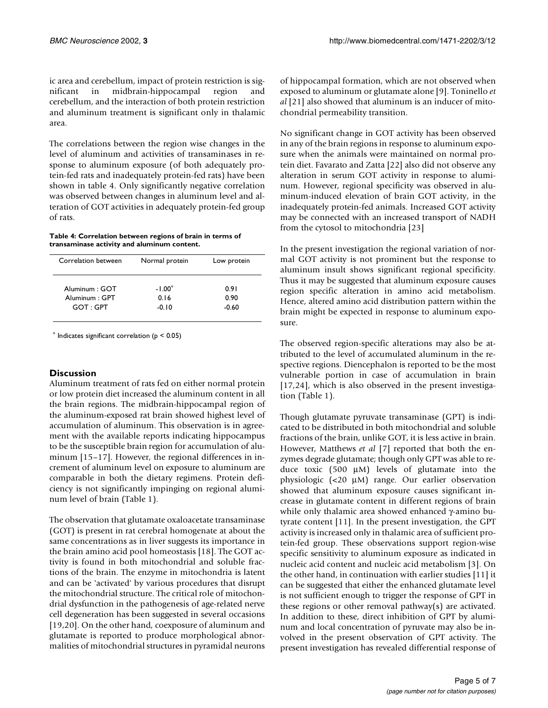ic area and cerebellum, impact of protein restriction is significant in midbrain-hippocampal region and cerebellum, and the interaction of both protein restriction and aluminum treatment is significant only in thalamic area.

<span id="page-4-0"></span>The correlations between the region wise changes in the level of aluminum and activities of transaminases in response to aluminum exposure (of both adequately protein-fed rats and inadequately protein-fed rats) have been shown in table [4.](#page-4-0) Only significantly negative correlation was observed between changes in aluminum level and alteration of GOT activities in adequately protein-fed group of rats.

#### **Table 4: Correlation between regions of brain in terms of transaminase activity and aluminum content.**

| Correlation between | Normal protein | Low protein |  |
|---------------------|----------------|-------------|--|
| Aluminum : GOT      | $-1.00^*$      | 0.91        |  |
| Aluminum: GPT       | 0.16           | 0.90        |  |
| GOT: GPT            | $-0.10$        | $-0.60$     |  |

 $*$  Indicates significant correlation ( $p < 0.05$ )

# **Discussion**

Aluminum treatment of rats fed on either normal protein or low protein diet increased the aluminum content in all the brain regions. The midbrain-hippocampal region of the aluminum-exposed rat brain showed highest level of accumulation of aluminum. This observation is in agreement with the available reports indicating hippocampus to be the susceptible brain region for accumulation of aluminum [15–17]. However, the regional differences in increment of aluminum level on exposure to aluminum are comparable in both the dietary regimens. Protein deficiency is not significantly impinging on regional aluminum level of brain (Table [1](#page-1-0)).

The observation that glutamate oxaloacetate transaminase (GOT) is present in rat cerebral homogenate at about the same concentrations as in liver suggests its importance in the brain amino acid pool homeostasis [18]. The GOT activity is found in both mitochondrial and soluble fractions of the brain. The enzyme in mitochondria is latent and can be 'activated' by various procedures that disrupt the mitochondrial structure. The critical role of mitochondrial dysfunction in the pathogenesis of age-related nerve cell degeneration has been suggested in several occasions [19,20]. On the other hand, coexposure of aluminum and glutamate is reported to produce morphological abnormalities of mitochondrial structures in pyramidal neurons

of hippocampal formation, which are not observed when exposed to aluminum or glutamate alone [9]. Toninello *et al* [21] also showed that aluminum is an inducer of mitochondrial permeability transition.

No significant change in GOT activity has been observed in any of the brain regions in response to aluminum exposure when the animals were maintained on normal protein diet. Favarato and Zatta [22] also did not observe any alteration in serum GOT activity in response to aluminum. However, regional specificity was observed in aluminum-induced elevation of brain GOT activity, in the inadequately protein-fed animals. Increased GOT activity may be connected with an increased transport of NADH from the cytosol to mitochondria [23]

In the present investigation the regional variation of normal GOT activity is not prominent but the response to aluminum insult shows significant regional specificity. Thus it may be suggested that aluminum exposure causes region specific alteration in amino acid metabolism. Hence, altered amino acid distribution pattern within the brain might be expected in response to aluminum exposure.

The observed region-specific alterations may also be attributed to the level of accumulated aluminum in the respective regions. Diencephalon is reported to be the most vulnerable portion in case of accumulation in brain [17,24], which is also observed in the present investigation (Table [1\)](#page-1-0).

Though glutamate pyruvate transaminase (GPT) is indicated to be distributed in both mitochondrial and soluble fractions of the brain, unlike GOT, it is less active in brain. However, Matthews *et al* [7] reported that both the enzymes degrade glutamate; though only GPT was able to reduce toxic (500 µM) levels of glutamate into the physiologic (<20 µM) range. Our earlier observation showed that aluminum exposure causes significant increase in glutamate content in different regions of brain while only thalamic area showed enhanced γ-amino butyrate content [11]. In the present investigation, the GPT activity is increased only in thalamic area of sufficient protein-fed group. These observations support region-wise specific sensitivity to aluminum exposure as indicated in nucleic acid content and nucleic acid metabolism [3]. On the other hand, in continuation with earlier studies [11] it can be suggested that either the enhanced glutamate level is not sufficient enough to trigger the response of GPT in these regions or other removal pathway(s) are activated. In addition to these, direct inhibition of GPT by aluminum and local concentration of pyruvate may also be involved in the present observation of GPT activity. The present investigation has revealed differential response of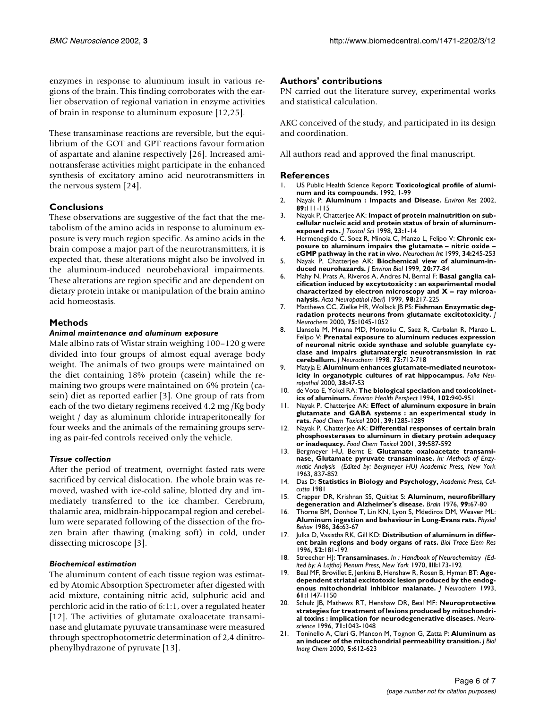enzymes in response to aluminum insult in various regions of the brain. This finding corroborates with the earlier observation of regional variation in enzyme activities of brain in response to aluminum exposure [12,25].

These transaminase reactions are reversible, but the equilibrium of the GOT and GPT reactions favour formation of aspartate and alanine respectively [26]. Increased aminotransferase activities might participate in the enhanced synthesis of excitatory amino acid neurotransmitters in the nervous system [24].

# **Conclusions**

These observations are suggestive of the fact that the metabolism of the amino acids in response to aluminum exposure is very much region specific. As amino acids in the brain compose a major part of the neurotransmitters, it is expected that, these alterations might also be involved in the aluminum-induced neurobehavioral impairments. These alterations are region specific and are dependent on dietary protein intake or manipulation of the brain amino acid homeostasis.

# **Methods**

### *Animal maintenance and aluminum exposure*

Male albino rats of Wistar strain weighing 100–120 g were divided into four groups of almost equal average body weight. The animals of two groups were maintained on the diet containing 18% protein (casein) while the remaining two groups were maintained on 6% protein (casein) diet as reported earlier [3]. One group of rats from each of the two dietary regimens received 4.2 mg /Kg body weight / day as aluminum chloride intraperitoneally for four weeks and the animals of the remaining groups serving as pair-fed controls received only the vehicle.

# *Tissue collection*

After the period of treatment, overnight fasted rats were sacrificed by cervical dislocation. The whole brain was removed, washed with ice-cold saline, blotted dry and immediately transferred to the ice chamber. Cerebrum, thalamic area, midbrain-hippocampal region and cerebellum were separated following of the dissection of the frozen brain after thawing (making soft) in cold, under dissecting microscope [3].

#### *Biochemical estimation*

The aluminum content of each tissue region was estimated by Atomic Absorption Spectrometer after digested with acid mixture, containing nitric acid, sulphuric acid and perchloric acid in the ratio of 6:1:1, over a regulated heater [12]. The activities of glutamate oxaloacetate transaminase and glutamate pyruvate transaminase were measured through spectrophotometric determination of 2,4 dinitrophenylhydrazone of pyruvate [13].

# **Authors' contributions**

PN carried out the literature survey, experimental works and statistical calculation.

AKC conceived of the study, and participated in its design and coordination.

All authors read and approved the final manuscript.

#### **References**

- 1. US Public Health Science Report: **Toxicological profile of aluminum and its compounds.** 1992, 1-99
- 2. [Nayak P:](http://www.ncbi.nlm.nih.gov/entrez/query.fcgi?cmd=Retrieve&db=PubMed&dopt=Abstract&list_uids=12123643) **[Aluminum : Impacts and Disease.](http://www.ncbi.nlm.nih.gov/entrez/query.fcgi?cmd=Retrieve&db=PubMed&dopt=Abstract&list_uids=12123643)** *Environ Res* 2002, **89:**111-115
- 3. [Nayak P, Chatterjee AK:](http://www.ncbi.nlm.nih.gov/entrez/query.fcgi?cmd=Retrieve&db=PubMed&dopt=Abstract&list_uids=9513917) **[Impact of protein malnutrition on sub](http://www.ncbi.nlm.nih.gov/entrez/query.fcgi?cmd=Retrieve&db=PubMed&dopt=Abstract&list_uids=9513917)[cellular nucleic acid and protein status of brain of aluminum](http://www.ncbi.nlm.nih.gov/entrez/query.fcgi?cmd=Retrieve&db=PubMed&dopt=Abstract&list_uids=9513917)[exposed rats.](http://www.ncbi.nlm.nih.gov/entrez/query.fcgi?cmd=Retrieve&db=PubMed&dopt=Abstract&list_uids=9513917)** *J Toxicol Sci* 1998, **23:**1-14
- 4. [Hermenegildo C, Soez R, Minoia C, Manzo L, Felipo V:](http://www.ncbi.nlm.nih.gov/entrez/query.fcgi?cmd=Retrieve&db=PubMed&dopt=Abstract&list_uids=10355491) **Chronic exposure to aluminum impairs the glutamate – nitric oxide – cGMP pathway in the rat** *in vivo***[.](http://www.ncbi.nlm.nih.gov/entrez/query.fcgi?cmd=Retrieve&db=PubMed&dopt=Abstract&list_uids=10355491)** *Neurochem Int* 1999, **34:**245-253
- 5. Nayak P, Chatterjee AK: **Biochemical view of aluminum-induced neurohazards.** *J Environ Biol* 1999, **20:**77-84
- 6. [Mahy N, Prats A, Riveros A, Andres N, Bernal F:](http://www.ncbi.nlm.nih.gov/entrez/query.fcgi?cmd=Retrieve&db=PubMed&dopt=Abstract&list_uids=10483777) **[Basal ganglia cal](http://www.ncbi.nlm.nih.gov/entrez/query.fcgi?cmd=Retrieve&db=PubMed&dopt=Abstract&list_uids=10483777)[cification induced by excytotoxicity : an experimental model](http://www.ncbi.nlm.nih.gov/entrez/query.fcgi?cmd=Retrieve&db=PubMed&dopt=Abstract&list_uids=10483777) characterized by electron microscopy and X – ray microa[nalysis.](http://www.ncbi.nlm.nih.gov/entrez/query.fcgi?cmd=Retrieve&db=PubMed&dopt=Abstract&list_uids=10483777)** *Acta Neuropathol (Berl)* 1999, **98:**217-225
- 7. [Matthews CC, Zielke HR, Wollack JB PS:](http://www.ncbi.nlm.nih.gov/entrez/query.fcgi?cmd=Retrieve&db=PubMed&dopt=Abstract&list_uids=10936185) **[Fishman Enzymatic deg](http://www.ncbi.nlm.nih.gov/entrez/query.fcgi?cmd=Retrieve&db=PubMed&dopt=Abstract&list_uids=10936185)[radation protects neurons from glutamate excitotoxicity.](http://www.ncbi.nlm.nih.gov/entrez/query.fcgi?cmd=Retrieve&db=PubMed&dopt=Abstract&list_uids=10936185)** *J Neurochem* 2000, **75:**1045-1052
- 8. [Llansola M, Minana MD, Montoliu C, Saez R, Carbalan R, Manzo L,](http://www.ncbi.nlm.nih.gov/entrez/query.fcgi?cmd=Retrieve&db=PubMed&dopt=Abstract&list_uids=10428068) [Felipo V:](http://www.ncbi.nlm.nih.gov/entrez/query.fcgi?cmd=Retrieve&db=PubMed&dopt=Abstract&list_uids=10428068) **[Prenatal exposure to aluminum reduces expression](http://www.ncbi.nlm.nih.gov/entrez/query.fcgi?cmd=Retrieve&db=PubMed&dopt=Abstract&list_uids=10428068) [of neuronal nitric oxide synthase and soluble guanylate cy](http://www.ncbi.nlm.nih.gov/entrez/query.fcgi?cmd=Retrieve&db=PubMed&dopt=Abstract&list_uids=10428068)clase and impairs glutamatergic neurotransmission in rat [cerebellum.](http://www.ncbi.nlm.nih.gov/entrez/query.fcgi?cmd=Retrieve&db=PubMed&dopt=Abstract&list_uids=10428068)** *J Neurochem* 1998, **73:**712-718
- 9. [Matyja E:](http://www.ncbi.nlm.nih.gov/entrez/query.fcgi?cmd=Retrieve&db=PubMed&dopt=Abstract&list_uids=11057035) **[Aluminum enhances glutamate-mediated neurotox](http://www.ncbi.nlm.nih.gov/entrez/query.fcgi?cmd=Retrieve&db=PubMed&dopt=Abstract&list_uids=11057035)[icity in organotypic cultures of rat hippocampus.](http://www.ncbi.nlm.nih.gov/entrez/query.fcgi?cmd=Retrieve&db=PubMed&dopt=Abstract&list_uids=11057035)** *Folia Neuropathol* 2000, **38:**47-53
- 10. [de Voto E, Yokel RA:](http://www.ncbi.nlm.nih.gov/entrez/query.fcgi?cmd=Retrieve&db=PubMed&dopt=Abstract&list_uids=9738208) **[The biological speciation and toxicokinet](http://www.ncbi.nlm.nih.gov/entrez/query.fcgi?cmd=Retrieve&db=PubMed&dopt=Abstract&list_uids=9738208)[ics of aluminum.](http://www.ncbi.nlm.nih.gov/entrez/query.fcgi?cmd=Retrieve&db=PubMed&dopt=Abstract&list_uids=9738208)** *Environ Health Perspect* 1994, 102:940-95
- 11. [Nayak P, Chatterjee AK:](http://www.ncbi.nlm.nih.gov/entrez/query.fcgi?cmd=Retrieve&db=PubMed&dopt=Abstract&list_uids=11696403) **[Effect of aluminum exposure in brain](http://www.ncbi.nlm.nih.gov/entrez/query.fcgi?cmd=Retrieve&db=PubMed&dopt=Abstract&list_uids=11696403) [glutamate and GABA systems : an experimental study in](http://www.ncbi.nlm.nih.gov/entrez/query.fcgi?cmd=Retrieve&db=PubMed&dopt=Abstract&list_uids=11696403) [rats.](http://www.ncbi.nlm.nih.gov/entrez/query.fcgi?cmd=Retrieve&db=PubMed&dopt=Abstract&list_uids=11696403)** *Food Chem Toxicol* 2001, **39:**1285-1289
- 12. [Nayak P, Chatterjee AK:](http://www.ncbi.nlm.nih.gov/entrez/query.fcgi?cmd=Retrieve&db=PubMed&dopt=Abstract&list_uids=11346489) **[Differential responses of certain brain](http://www.ncbi.nlm.nih.gov/entrez/query.fcgi?cmd=Retrieve&db=PubMed&dopt=Abstract&list_uids=11346489) [phosphoesterases to aluminum in dietary protein adequacy](http://www.ncbi.nlm.nih.gov/entrez/query.fcgi?cmd=Retrieve&db=PubMed&dopt=Abstract&list_uids=11346489) [or inadequacy.](http://www.ncbi.nlm.nih.gov/entrez/query.fcgi?cmd=Retrieve&db=PubMed&dopt=Abstract&list_uids=11346489)** *Food Chem Toxicol* 2001, **39:**587-592
- 13. Bergmeyer HU, Bernt E: **Glutamate oxaloacetate transaminase, Glutamate pyruvate transaminase.** *In: Methods of Enzymatic Analysis (Edited by: Bergmeyer HU) Academic Press, New York* 1963, 837-852
- 14. Das D: **Statistics in Biology and Psychology,** *Academic Press, Calcutta* 1981
- 15. [Crapper DR, Krishnan SS, Quitkat S:](http://www.ncbi.nlm.nih.gov/entrez/query.fcgi?cmd=Retrieve&db=PubMed&dopt=Abstract&list_uids=963531) **[Aluminum, neurofibrillary](http://www.ncbi.nlm.nih.gov/entrez/query.fcgi?cmd=Retrieve&db=PubMed&dopt=Abstract&list_uids=963531) [degeneration and Alzheimer's disease.](http://www.ncbi.nlm.nih.gov/entrez/query.fcgi?cmd=Retrieve&db=PubMed&dopt=Abstract&list_uids=963531)** *Brain* 1976, **99:**67-80
- 16. [Thorne BM, Donhoe T, Lin KN, Lyon S, Mdediros DM, Weaver ML:](http://www.ncbi.nlm.nih.gov/entrez/query.fcgi?cmd=Retrieve&db=PubMed&dopt=Abstract&list_uids=3952185) **[Aluminum ingestion and behaviour in Long-Evans rats.](http://www.ncbi.nlm.nih.gov/entrez/query.fcgi?cmd=Retrieve&db=PubMed&dopt=Abstract&list_uids=3952185)** *Physiol Behav* 1986, **36:**63-67
- 17. [Julka D, Vasistha RK, Gill KD:](http://www.ncbi.nlm.nih.gov/entrez/query.fcgi?cmd=Retrieve&db=PubMed&dopt=Abstract&list_uids=8773759) **[Distribution of aluminum in differ](http://www.ncbi.nlm.nih.gov/entrez/query.fcgi?cmd=Retrieve&db=PubMed&dopt=Abstract&list_uids=8773759)[ent brain regions and body organs of rats.](http://www.ncbi.nlm.nih.gov/entrez/query.fcgi?cmd=Retrieve&db=PubMed&dopt=Abstract&list_uids=8773759)** *Biol Trace Elem Res* 1996, **52:**181-192
- 18. Streecher HJ: **Transaminases.** *In : Handbook of Neurochemistry (Edited by: A Lajtha) Plenum Press, New York* 1970, **III:**173-192
- 19. [Beal MF, Brovillet E, Jenkins B, Henshaw R, Rosen B, Hyman BT:](http://www.ncbi.nlm.nih.gov/entrez/query.fcgi?cmd=Retrieve&db=PubMed&dopt=Abstract&list_uids=7689641) **[Age](http://www.ncbi.nlm.nih.gov/entrez/query.fcgi?cmd=Retrieve&db=PubMed&dopt=Abstract&list_uids=7689641)[dependent striatal excitotoxic lesion produced by the endog](http://www.ncbi.nlm.nih.gov/entrez/query.fcgi?cmd=Retrieve&db=PubMed&dopt=Abstract&list_uids=7689641)[enous mitochondrial inhibitor malanate.](http://www.ncbi.nlm.nih.gov/entrez/query.fcgi?cmd=Retrieve&db=PubMed&dopt=Abstract&list_uids=7689641)** *J Neurochem* 1993, **61:**1147-1150
- 20. [Schulz JB, Mathews RT, Henshaw DR, Beal MF:](http://www.ncbi.nlm.nih.gov/entrez/query.fcgi?cmd=Retrieve&db=PubMed&dopt=Abstract&list_uids=8684608) **[Neuroprotective](http://www.ncbi.nlm.nih.gov/entrez/query.fcgi?cmd=Retrieve&db=PubMed&dopt=Abstract&list_uids=8684608) [strategies for treatment of lesions produced by mitochondri](http://www.ncbi.nlm.nih.gov/entrez/query.fcgi?cmd=Retrieve&db=PubMed&dopt=Abstract&list_uids=8684608)[al toxins : implication for neurodegenerative diseases.](http://www.ncbi.nlm.nih.gov/entrez/query.fcgi?cmd=Retrieve&db=PubMed&dopt=Abstract&list_uids=8684608)** *Neuroscience* 1996, **71:**1043-1048
- 21. [Toninello A, Clari G, Mancon M, Tognon G, Zatta P:](http://www.ncbi.nlm.nih.gov/entrez/query.fcgi?cmd=Retrieve&db=PubMed&dopt=Abstract&list_uids=11085652) **[Aluminum as](http://www.ncbi.nlm.nih.gov/entrez/query.fcgi?cmd=Retrieve&db=PubMed&dopt=Abstract&list_uids=11085652) [an inducer of the mitochondrial permeability transition.](http://www.ncbi.nlm.nih.gov/entrez/query.fcgi?cmd=Retrieve&db=PubMed&dopt=Abstract&list_uids=11085652)** *J Biol Inorg Chem* 2000, **5:**612-623